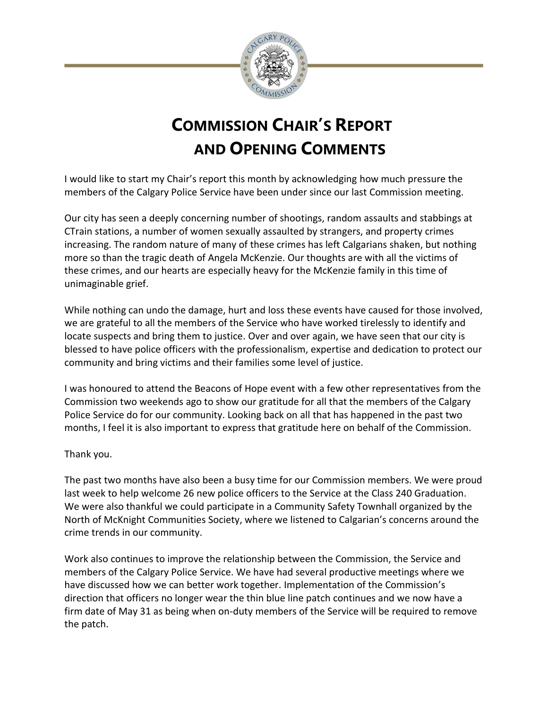

## **COMMISSION CHAIR'S REPORT AND OPENING COMMENTS**

I would like to start my Chair's report this month by acknowledging how much pressure the members of the Calgary Police Service have been under since our last Commission meeting.

Our city has seen a deeply concerning number of shootings, random assaults and stabbings at CTrain stations, a number of women sexually assaulted by strangers, and property crimes increasing. The random nature of many of these crimes has left Calgarians shaken, but nothing more so than the tragic death of Angela McKenzie. Our thoughts are with all the victims of these crimes, and our hearts are especially heavy for the McKenzie family in this time of unimaginable grief.

While nothing can undo the damage, hurt and loss these events have caused for those involved, we are grateful to all the members of the Service who have worked tirelessly to identify and locate suspects and bring them to justice. Over and over again, we have seen that our city is blessed to have police officers with the professionalism, expertise and dedication to protect our community and bring victims and their families some level of justice.

I was honoured to attend the Beacons of Hope event with a few other representatives from the Commission two weekends ago to show our gratitude for all that the members of the Calgary Police Service do for our community. Looking back on all that has happened in the past two months, I feel it is also important to express that gratitude here on behalf of the Commission.

## Thank you.

The past two months have also been a busy time for our Commission members. We were proud last week to help welcome 26 new police officers to the Service at the Class 240 Graduation. We were also thankful we could participate in a Community Safety Townhall organized by the North of McKnight Communities Society, where we listened to Calgarian's concerns around the crime trends in our community.

Work also continues to improve the relationship between the Commission, the Service and members of the Calgary Police Service. We have had several productive meetings where we have discussed how we can better work together. Implementation of the Commission's direction that officers no longer wear the thin blue line patch continues and we now have a firm date of May 31 as being when on-duty members of the Service will be required to remove the patch.